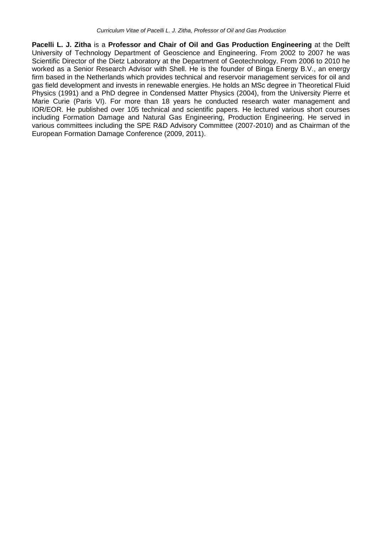**Pacelli L. J. Zitha** is a **Professor and Chair of Oil and Gas Production Engineering** at the Delft University of Technology Department of Geoscience and Engineering. From 2002 to 2007 he was Scientific Director of the Dietz Laboratory at the Department of Geotechnology. From 2006 to 2010 he worked as a Senior Research Advisor with Shell. He is the founder of Binga Energy B.V., an energy firm based in the Netherlands which provides technical and reservoir management services for oil and gas field development and invests in renewable energies. He holds an MSc degree in Theoretical Fluid Physics (1991) and a PhD degree in Condensed Matter Physics (2004), from the University Pierre et Marie Curie (Paris VI). For more than 18 years he conducted research water management and IOR/EOR. He published over 105 technical and scientific papers. He lectured various short courses including Formation Damage and Natural Gas Engineering, Production Engineering. He served in various committees including the SPE R&D Advisory Committee (2007-2010) and as Chairman of the European Formation Damage Conference (2009, 2011).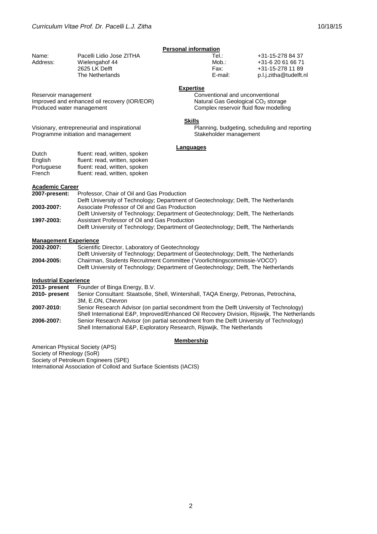|          | <b>Personal information</b> |         |                        |  |
|----------|-----------------------------|---------|------------------------|--|
| Name:    | Pacelli Lidio Jose ZITHA    | Tel∴    | +31-15-278 84 37       |  |
| Address: | Wielengahof 44              | Mob.:   | +31-6 20 61 66 71      |  |
|          | 2625 LK Delft               | Fax:    | +31-15-278 11 89       |  |
|          | The Netherlands             | E-mail: | p.l.j.zitha@tudelft.nl |  |

#### **Expertise**

Conventional and unconventional Natural Gas Geological CO<sub>2</sub> storage Complex reservoir fluid flow modelling

### **Skills**

Planning, budgeting, scheduling and reporting Stakeholder management

#### **Languages**

| Dutch      | fluent: read, written, spoken |
|------------|-------------------------------|
| English    | fluent: read, written, spoken |
| Portuguese | fluent: read, written, spoken |
| French     | fluent: read, written, spoken |

Improved and enhanced oil recovery (IOR/EOR)

Visionary, entrepreneurial and inspirational Programme initiation and management

#### **Academic Career**

Reservoir management

| 2007-present: | Professor, Chair of Oil and Gas Production                                          |  |
|---------------|-------------------------------------------------------------------------------------|--|
|               | Delft University of Technology; Department of Geotechnology; Delft, The Netherlands |  |
| 2003-2007:    | Associate Professor of Oil and Gas Production                                       |  |
|               | Delft University of Technology: Department of Geotechnology: Delft, The Netherlands |  |
| 1997-2003:    | Assistant Professor of Oil and Gas Production                                       |  |
|               | Delft University of Technology; Department of Geotechnology; Delft, The Netherlands |  |

# **Management Experience**

| 2002-2007: | Scientific Director, Laboratory of Geotechnology                                                                                                                |
|------------|-----------------------------------------------------------------------------------------------------------------------------------------------------------------|
|            | Delft University of Technology; Department of Geotechnology; Delft, The Netherlands                                                                             |
| 2004-2005: | Chairman, Students Recruitment Committee ('Voorlichtingscommissie-VOCO')<br>Delft University of Technology; Department of Geotechnology; Delft, The Netherlands |

# **Industrial Experience**<br>**2013- present** Foun

**Founder of Binga Energy, B.V.** 

- **2010- present** Senior Consultant: Staatsolie, Shell, Wintershall, TAQA Energy, Petronas, Petrochina, 3M, E.ON, Chevron
- **2007-2010:** Senior Research Advisor (on partial secondment from the Delft University of Technology) Shell International E&P, Improved/Enhanced Oil Recovery Division, Rijswijk, The Netherlands **2006-2007:** Senior Research Advisor (on partial secondment from the Delft University of Technology) Shell International E&P, Exploratory Research, Rijswijk, The Netherlands

#### **Membership**

American Physical Society (APS) Society of Rheology (SoR) Society of Petroleum Engineers (SPE) International Association of Colloid and Surface Scientists (IACIS)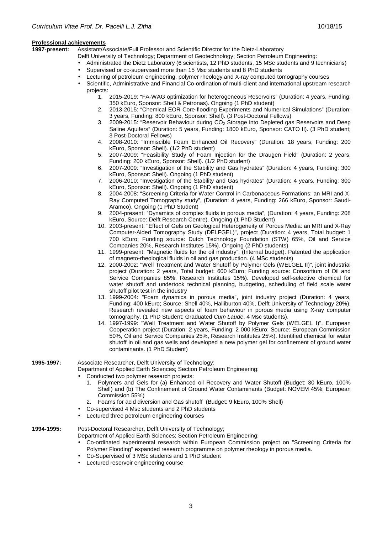#### **Professional achievements**

**1997-present:** Assistant/Associate/Full Professor and Scientific Director for the Dietz-Laboratory

- Delft University of Technology; Department of Geotechnology; Section Petroleum Engineering:
- Administrated the Dietz Laboratory (6 scientists, 12 PhD students, 15 MSc students and 9 technicians)
	- Supervised or co-supervised more than 15 Msc students and 8 PhD students
- Lecturing of petroleum engineering, polymer rheology and X-ray computed tomography courses
- Scientific, Administrative and Financial Co-ordination of multi-client and international upstream research projects:
	- 1. 2015-2019: "FA-WAG optimization for heterogeneous Reservoirs" (Duration: 4 years, Funding: 350 kEuro, Sponsor: Shell & Petronas). Ongoing (1 PhD student)
	- 2. 2013-2015: "Chemical EOR Core-flooding Experiments and Numerical Simulations" (Duration: 3 years, Funding: 800 kEuro, Sponsor: Shell). (3 Post-Doctoral Fellows)
	- 3. 2009-2015: "Reservoir Behaviour during CO<sub>2</sub> Storage into Depleted gas Reservoirs and Deep Saline Aquifers" (Duration: 5 years, Funding: 1800 kEuro, Sponsor: CATO II). (3 PhD student; 3 Post-Doctoral Fellows)
	- 4. 2008-2010: "Immiscible Foam Enhanced Oil Recovery" (Duration: 18 years, Funding: 200 kEuro, Sponsor: Shell). (1/2 PhD student)
	- 5. 2007-2009: "Feasibility Study of Foam Injection for the Draugen Field" (Duration: 2 years, Funding: 200 kEuro, Sponsor: Shell). (1/2 PhD student)
	- 6. 2007-2009: "Investigation of the Stability and Gas hydrates" (Duration: 4 years, Funding: 300 kEuro, Sponsor: Shell). Ongoing (1 PhD student)
	- 7. 2006-2010: "Investigation of the Stability and Gas hydrates" (Duration: 4 years, Funding: 300 kEuro, Sponsor: Shell). Ongoing (1 PhD student)
	- 8. 2004-2008: "Screening Criteria for Water Control in Carbonaceous Formations: an MRI and X-Ray Computed Tomography study", (Duration: 4 years, Funding: 266 kEuro, Sponsor: Saudi-Aramco). Ongoing (1 PhD Student)
	- 9. 2004-present: "Dynamics of complex fluids in porous media", (Duration: 4 years, Funding: 208 kEuro, Source: Delft Research Centre). Ongoing (1 PhD Student)
	- 10. 2003-present: "Effect of Gels on Geological Heterogeneity of Porous Media: an MRI and X-Ray Computer-Aided Tomography Study (DELFGEL)", project (Duration: 4 years, Total budget: 1 700 kEuro; Funding source: Dutch Technology Foundation (STW) 65%, Oil and Service Companies 20%, Research Institutes 15%). Ongoing (2 PhD students)
	- 11. 1999-present: "Magnetic fluids for the oil industry", (Internal budget). Patented the application of magneto-rheological fluids in oil and gas production. (4 MSc students)
	- 12. 2000-2002: "Well Treatment and Water Shutoff by Polymer Gels (WELGEL II)", joint industrial project (Duration: 2 years, Total budget: 600 kEuro; Funding source: Consortium of Oil and Service Companies 85%, Research Institutes 15%). Developed self-selective chemical for water shutoff and undertook technical planning, budgeting, scheduling of field scale water shutoff pilot test in the industry
	- 13. 1999-2004: "Foam dynamics in porous media", joint industry project (Duration: 4 years, Funding: 400 kEuro; Source: Shell 40%, Halliburton 40%, Delft University of Technology 20%). Research revealed new aspects of foam behaviour in porous media using X-ray computer tomography. (1 PhD Student: Graduated Cum Laude, 4 Msc students).
	- 14. 1997-1999: "Well Treatment and Water Shutoff by Polymer Gels (WELGEL I)", European Cooperation project (Duration: 2 years, Funding: 2 000 kEuro; Source: European Commission 50%, Oil and Service Companies 25%, Research Institutes 25%). Identified chemical for water shutoff in oil and gas wells and developed a new polymer gel for confinement of ground water contaminants. (1 PhD Student)

**1995-1997:** Associate Researcher, Delft University of Technology;

Department of Applied Earth Sciences; Section Petroleum Engineering:

- Conducted two polymer research projects:
	- 1. Polymers and Gels for (a) Enhanced oil Recovery and Water Shutoff (Budget: 30 kEuro, 100% Shell) and (b) The Confinement of Ground Water Contaminants (Budget: NOVEM 45%; European Commission 55%)
	- 2. Foams for acid diversion and Gas shutoff (Budget: 9 kEuro, 100% Shell)
- Co-supervised 4 Msc students and 2 PhD students
- Lectured three petroleum engineering courses

**1994-1995:** Post-Doctoral Researcher, Delft University of Technology;

- Department of Applied Earth Sciences; Section Petroleum Engineering:
	- Co-ordinated experimental research within European Commission project on "Screening Criteria for Polymer Flooding" expanded research programme on polymer rheology in porous media.
	- Co-Supervised of 3 MSc students and 1 PhD student
	- Lectured reservoir engineering course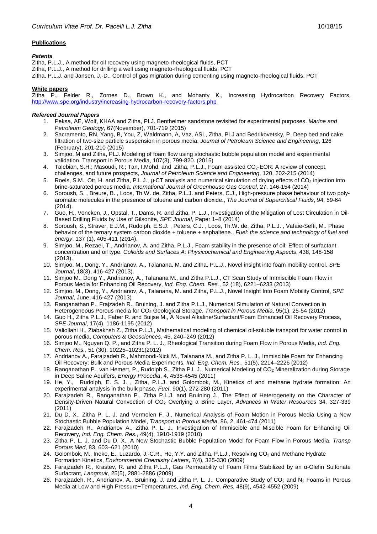# **Publications**

### **Patents**

Zitha, P.L.J., A method for oil recovery using magneto-rheological fluids, PCT Zitha, P.L.J., A method for drilling a well using magneto-rheological fluids, PCT Zitha, P.L.J. and Jansen, J.-D., Control of gas migration during cementing using magneto-rheological fluids, PCT

# **White papers**

Zitha P., Felder R., Zornes D., Brown K., and Mohanty K., Increasing Hydrocarbon Recovery Factors, http://www.spe.org/industry/increasing-hydrocarbon-recovery-factors.php

## **Refereed Journal Papers**

- 1. Peksa, AE, Wolf, KHAA and Zitha, PLJ. Bentheimer sandstone revisited for experimental purposes. Marine and Petroleum Geology, 67(November), 701-719 (2015)
- 2. Sacramento, RN, Yang, B, You, Z, Waldmann, A, Vaz, ASL, Zitha, PLJ and Bedrikovetsky, P. Deep bed and cake filtration of two-size particle suspension in porous media. Journal of Petroleum Science and Engineering, 126 (February), 201-210 (2015)
- 3. Simjoo, M and Zitha, PLJ. Modeling of foam flow using stochastic bubble population model and experimental validation. Transport in Porous Media, 107(3), 799-820. (2015)
- 4. Talebian, S.H.; Masoudi, R.; Tan, I.Mohd. and Zitha, P.L.J., Foam assisted CO2-EOR: A review of concept, challenges, and future prospects, Journal of Petroleum Science and Engineering, 120, 202-215 (2014)
- 5. Roels, S.M., Ott, H. and Zitha, P.L.J., µ-CT analysis and numerical simulation of drying effects of CO<sub>2</sub> injection into brine-saturated porous media. International Journal of Greenhouse Gas Control, 27, 146-154 (2014)
- 6. Soroush, S. , Breure, B. , Loos, Th.W. de, Zitha, P.L.J. and Peters, C.J., High-pressure phase behaviour of two polyaromatic molecules in the presence of toluene and carbon dioxide., The Journal of Supercritical Fluids, 94, 59-64 (2014).
- 7. Guo, H., Voncken, J., Opstal, T., Dams, R. and Zitha, P. L.J., Investigation of the Mitigation of Lost Circulation in Oil-Based Drilling Fluids by Use of Gilsonite, SPE Journal, Paper 1–8 (2014)
- 8. Soroush, S., Straver, E.J.M., Rudolph, E.S.J. , Peters, C.J. , Loos, Th.W. de, Zitha, P.L.J. , Vafaie-Sefti, M.. Phase behavior of the ternary system carbon dioxide + toluene + asphaltene., Fuel: the science and technology of fuel and energy, 137 (1), 405-411 (2014).
- 9. Simjoo, M., Rezaei, T., Andrianov, A. and Zitha, P.L.J., Foam stability in the presence of oil: Effect of surfactant concentration and oil type. Colloids and Surfaces A: Physicochemical and Engineering Aspects, 438, 148-158 (2013).
- 10. Simjoo, M., Dong, Y., Andrianov, A., Talanana, M. and Zitha, P.L.J., Novel insight into foam mobility control. SPE Journal, 18(3), 416-427 (2013).
- 11. Simjoo M., Dong Y., Andrianov, A., Talanana M., and Zitha P.L.J., CT Scan Study of Immiscible Foam Flow in Porous Media for Enhancing Oil Recovery, Ind. Eng. Chem. Res., 52 (18), 6221–6233 (2013)
- 12. Simjoo, M., Dong, Y., Andrianov, A., Talanana, M. and Zitha, P.L.J., Novel Insight Into Foam Mobility Control, SPE Journal, June, 416-427 (2013)
- 13. Ranganathan P., Frajzadeh R., Bruining, J. and Zitha P.L.J., Numerical Simulation of Natural Convection in Heterogeneous Porous media for CO<sub>2</sub> Geological Storage, Transport in Porous Media, 95(1), 25-54 (2012)
- 14. Guo H., Zitha P.L.J., Faber R. and Buijse M., A Novel Alkaline/Surfactant/Foam Enhanced Oil Recovery Process, SPE Journal, 17(4), 1186-1195 (2012)
- 15. Valiollahi H., Ziabakhsh Z., Zitha P.L.J., Mathematical modeling of chemical oil-soluble transport for water control in porous media, Computers & Geosciences, 45, 240–249 (2012)
- 16. Simjoo M., Nguyen Q. P., and Zitha P. L. J., Rheological Transition during Foam Flow in Porous Media, Ind. Eng. Chem. Res., 51 (30), 10225–10231(2012)
- 17. Andrianov A., Farajzadeh R., Mahmoodi-Nick M., Talanana M., and Zitha P. L. J., Immiscible Foam for Enhancing Oil Recovery: Bulk and Porous Media Experiments, Ind. Eng. Chem. Res., 51(5), 2214–2226 (2012)
- 18. Ranganathan P., van Hemert, P., Rudolph S., Zitha P.L.J., Numerical Modeling of CO2 Mineralization during Storage in Deep Saline Aquifers, Energy Procedia, 4, 4538-4545 (2011)
- 19. He, Y., Rudolph, E. S. J. , Zitha, P.L.J. and Golombok, M., Kinetics of and methane hydrate formation: An experimental analysis in the bulk phase, Fuel, 90(1), 272-280 (2011)
- 20. Farajzadeh R., Ranganathan P., Zitha P.L.J. and Bruining J., The Effect of Heterogeneity on the Character of Density-Driven Natural Convection of CO<sub>2</sub> Overlying a Brine Layer, Advances in Water Resources 34, 327-339 (2011)
- 21. Du D. X., Zitha P. L. J. and Vermolen F. J., Numerical Analysis of Foam Motion in Porous Media Using a New Stochastic Bubble Population Model, Transport in Porous Media, 86, 2, 461-474 (2011)
- 22. Farajzadeh R., Andrianov A., Zitha P. L. J., Investigation of Immiscible and Miscible Foam for Enhancing Oil Recovery, Ind. Eng. Chem. Res., 49(4), 1910-1919 (2010)
- 23. Zitha P. L. J. and Du D. X., A New Stochastic Bubble Population Model for Foam Flow in Porous Media, Transp Porous Med, 83, 603–621 (2010)
- 24. Golombok, M., Ineke, E., Luzardo, J.-C.R., He, Y.Y. and Zitha, P.L.J., Resolving CO<sub>2</sub> and Methane Hydrate Formation Kinetics, Environmental Chemistry Letters, 7(4), 325-330 (2009)
- 25. Farajzadeh R., Krastev, R. and Zitha P.L.J., Gas Permeability of Foam Films Stabilized by an α-Olefin Sulfonate Surfactant, Langmuir, 25(5), 2881-2886 (2009)
- 26. Farajzadeh, R., Andrianov, A., Bruining, J. and Zitha P. L. J., Comparative Study of  $CO_2$  and N<sub>2</sub> Foams in Porous Media at Low and High Pressure−Temperatures, Ind. Eng. Chem. Res. 48(9), 4542-4552 (2009)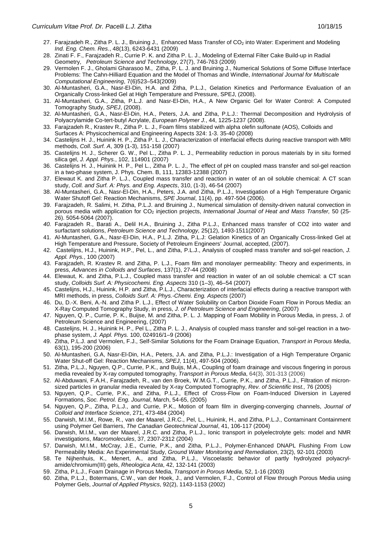- 27. Farajzadeh R., Zitha P. L. J., Bruining J., Enhanced Mass Transfer of CO<sub>2</sub> into Water: Experiment and Modeling Ind. Eng. Chem. Res., 48(13), 6243-6431 (2009)
- 28. Zinati F. F., Farajzadeh R., Currie P. K. and Zitha P. L. J., Modeling of External Filter Cake Build-up in Radial Geometry, Petroleum Science and Technology, 27(7), 746-763 (2009)
- 29. Vermolen F. J., Gholami Gharasoo M., Zitha, P. L. J. and Bruining J., Numerical Solutions of Some Diffuse Interface Problems: The Cahn-Hilliard Equation and the Model of Thomas and Windle, International Journal for Multiscale Computational Engineering, 7(6)523–543(2009)
- 30. Al-Muntasheri, G.A., Nasr-El-Din, H.A. and Zitha, P.L.J., Gelation Kinetics and Performance Evaluation of an Organically Cross-linked Gel at High Temperature and Pressure, SPEJ, (2008).
- 31. Al-Muntasheri, G.A., Zitha, P.L.J. and Nasr-El-Din, H.A., A New Organic Gel for Water Control: A Computed Tomography Study, SPEJ, (2008).
- 32. Al-Muntasheri, G.A., Nasr-El-Din, H.A., Peters, J.A. and Zitha, P.L.J.: Thermal Decomposition and Hydrolysis of Polyacrylamide Co-tert-butyl Acrylate, European Polymer J., 44, 1225-1237 (2008).
- 33. Farajzadeh R., Krastev R., Zitha P. L. J., Foam films stabilized with alpha olefin sulfonate (AOS), Colloids and Surfaces A: Physicochemical and Engineering Aspects 324: 1-3. 35-40 (2008)
- 34. Castelijns H. J., Huinink H. P., Zitha P. L. J., Characterization of interfacial effects during reactive transport with MRI methods, Coll. Surf. A, 309 (1-3), 151-158 (2007)
- 35. Castelijns H. J., Scherer G. W., Pel L., Zitha P. L. J., Permeability reduction in porous materials by in situ formed silica gel, J. Appl. Phys., 102, 114901 (2007)
- 36. Castelijns H. J., Huinink H. P., Pel L., Zitha P. L. J., The effect of pH on coupled mass transfer and sol-gel reaction in a two-phase system, J. Phys. Chem. B, 111, 12383-12388 (2007)
- 37. Elewaut K. and Zitha P. L.J., Coupled mass transfer and reaction in water of an oil soluble chemical: A CT scan study, Coll. and Surf. A: Phys. and Eng. Aspects, 310, (1-3), 46-54 (2007)
- 38. Al-Muntasheri, G.A., Nasr-El-Din, H.A., Peters, J.A. and Zitha, P.L.J., Investigation of a High Temperature Organic Water Shutoff Gel: Reaction Mechanisms, SPE Journal, 11(4), pp. 497-504 (2006).
- 39. Farajzadeh, R. Salimi, H. Zitha, P.L.J. and Bruining J., Numerical simulation of density-driven natural convection in porous media with application for CO<sub>2</sub> injection projects, International Journal of Heat and Mass Transfer, 50 (25-26). 5054-5064 (2007).
- 40. Farajzadeh R., Barati A., Delil H.A., Bruining J., Zitha P.L.J., Enhanced mass transfer of CO2 into water and surfactant solutions, Petroleum Science and Technology, 25(12), 1493-1511(2007)
- 41. Al-Muntasheri, G.A., Nasr-El-Din, H.A., P.L.J. Zitha, P.L.J: Gelation Kinetics of an Organically Cross-linked Gel at High Temperature and Pressure, Society of Petroleum Engineers' Journal, accepted, (2007).
- 42. Castelijns, H.J., Huinink, H.P., Pel, L., and Zitha, P.L.J., Analysis of coupled mass transfer and sol-gel reaction, J. Appl. Phys., 100 (2007)
- 43. Farajzadeh, R. Krastev R. and Zitha, P. L.J., Foam film and monolayer permeability: Theory and experiments, in press, Advances in Colloids and Surfaces, 137(1), 27-44 (2008)
- 44. Elewaut, K. and Zitha, P.L.J., Coupled mass transfer and reaction in water of an oil soluble chemical: a CT scan study, Colloids Surf. A: Physicochemi. Eng. Aspects 310 (1–3), 46–54 (2007)
- 45. Castelijns, H.J., Huinink, H.P. and Zitha, P.L.J., Characterization of interfacial effects during a reactive transport with MRI methods, in press, Colloids Surf. A: Phys.-Chemi. Eng. Aspects (2007)
- 46. Du, D.-X. Beni, A.-N. and Zitha P. L.J., Effect of Water Solubility on Carbon Dioxide Foam Flow in Porous Media: an X-Ray Computed Tomography Study, in press, J. of Petroleum Science and Engineering, (2007)
- 47. Nguyen, Q. P., Currie, P. K., Buijse, M. and Zitha, P. L. J. Mapping of Foam Mobility in Porous Media, in press, J. of Petroleum Science and Engineering, (2007)
- 48. Castelijns, H. J., Huinink H. P., Pel L., Zitha P. L. J., Analysis of coupled mass transfer and sol-gel reaction in a twophase system, J. Appl. Phys. 100, 024916/1–9 (2006)
- 49. Zitha, P.L.J. and Vermolen, F.J., Self-Similar Solutions for the Foam Drainage Equation, Transport in Porous Media, 63(1), 195-200 (2006)
- 50. Al-Muntasheri, G.A, Nasr-El-Din, H.A., Peters, J.A. and Zitha, P.L.J.: Investigation of a High Temperature Organic Water Shut-off Gel: Reaction Mechanisms, SPEJ, 11(4), 497-504 (2006).
- 51. Zitha, P.L.J., Nguyen, Q.P., Currie, P.K., and Buijs, M.A., Coupling of foam drainage and viscous fingering in porous media revealed by X-ray computed tomography, Transport in Porous Media, 64(3), 301-313 (2006)
- 52. Al-Abduwani, F.A.H., Farajzadeh, R., van den Broek, W.M.G.T., Currie, P.K., and Zitha, P.L.J., Filtration of micronsized particles in granular media revealed by X-ray Computed Tomography, Rev. of Scientific Inst., 76 (2005)
- 53. Nguyen, Q.P., Currie, P.K., and Zitha, P.L.J., Effect of Cross-Flow on Foam-Induced Diversion in Layered Formations, Soc. Petrol. Eng. Journal, March, 54-65, (2005)
- 54. Nguyen, Q.P., Zitha, P.L.J., and Currie, P.K., Motion of foam film in diverging-converging channels, Journal of Colloid and Interface Science, 271, 473-484 (2004)
- 55. Darwish, M.I.M., Rowe, R., van der Maarel, J.R.C., Pel, L., Huinink, H., and Zitha, P.L.J., Contaminant Containment using Polymer Gel Barriers, The Canadian Geotechnical Journal, 41, 106-117 (2004)
- 56. Darwish, M.I.M., van der Maarel, J.R.C. and Zitha, P.L.J., Ionic transport in polyelectrolyte gels: model and NMR investigations, Macromolecules, 37, 2307-2312 (2004)
- 57. Darwish, M.I.M., McCray, J.E., Currie, P.K., and Zitha, P.L.J., Polymer-Enhanced DNAPL Flushing From Low Permeability Media: An Experimental Study, Ground Water Monitoring and Remediation, 23(2), 92-101 (2003)
- 58. Te Nijhenhuis, K., Menert, A., and Zitha, P.L.J., Viscoelastic behavior of partly hydrolyzed polyacrylamide/chromium(III) gels, Rheologica Acta, 42, 132-141 (2003)
- 59. Zitha, P.L.J., Foam Drainage in Porous Media, Transport in Porous Media, 52, 1-16 (2003)
- 60. Zitha, P.L.J., Botermans, C.W., van der Hoek, J., and Vermolen, F.J., Control of Flow through Porous Media using Polymer Gels, Journal of Applied Physics, 92(2), 1143-1153 (2002)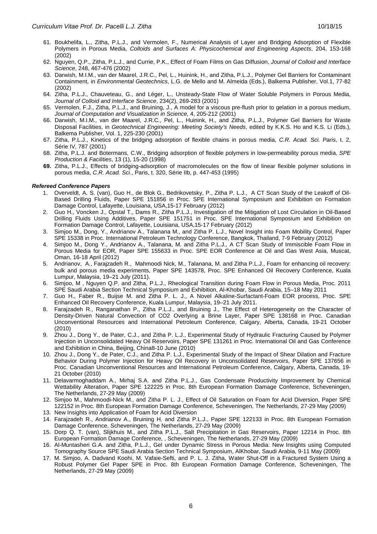- 61. Boukhelifa, L., Zitha, P.L.J., and Vermolen, F., Numerical Analysis of Layer and Bridging Adsorption of Flexible Polymers in Porous Media, Colloids and Surfaces A: Physicochemical and Engineering Aspects, 204, 153-168 (2002)
- 62. Nguyen, Q.P., Zitha, P.L.J., and Currie, P.K., Effect of Foam Films on Gas Diffusion, Journal of Colloid and Interface Science, 248, 467-476 (2002)
- 63. Darwish, M.I.M., van der Maarel, J.R.C., Pel, L., Huinink, H., and Zitha, P.L.J., Polymer Gel Barriers for Contaminant Containment, in Environmental Geotechnics, L.G. de Mello and M. Almeida (Eds.), Balkema Publisher, Vol.1, 77-82 (2002)
- 64. Zitha, P.L.J., Chauveteau, G., and Léger, L., Unsteady-State Flow of Water Soluble Polymers in Porous Media, Journal of Colloid and Interface Science, 234(2), 269-283 (2001)
- 65. Vermolen, F.J., Zitha, P.L.J., and Bruining, J., A model for a viscous pre-flush prior to gelation in a porous medium, Journal of Computation and Visualization in Science, 4, 205-212 (2001)
- 66. Darwish, M.I.M., van der Maarel, J.R.C., Pel, L., Huinink, H., and Zitha, P.L.J., Polymer Gel Barriers for Waste Disposal Facilities, in Geotechnical Engineering: Meeting Society's Needs, edited by K.K.S. Ho and K.S. Li (Eds.), Balkema Publisher, Vol. 1, 225-230 (2001)
- 67. Zitha, P.L.J., Kinetics of the bridging adsorption of flexible chains in porous media, C.R. Acad. Sci. Paris, t. 2, Série IV, 787 (2001)
- 68. Zitha, P.L.J. and Botermans, C.W., Bridging adsorption of flexible polymers in low-permeability porous media, SPE Production & Facilities, 13 (1), 15-20 (1998)
- **69.** Zitha, P.L.J., Effects of bridging-adsorption of macromolecules on the flow of linear flexible polymer solutions in porous media, C.R. Acad. Sci., Paris, t. 320, Série IIb, p. 447-453 (1995)

#### **Refereed Conference Papers**

- 1. Overveldt, A. S. (van), Guo H., de Blok G., Bedrikovetsky, P., Zitha P. L.J., A CT Scan Study of the Leakoff of Oil-Based Drilling Fluids, Paper SPE 151856 in Proc. SPE International Symposium and Exhibition on Formation Damage Control, Lafayette, Louisiana, USA,15-17 February (2012)
- 2. Guo H., Voncken J., Opstal T., Dams R., Zitha P.L.J., Investigation of the Mitigation of Lost Circulation in Oil-Based Drilling Fluids Using Additives, Paper SPE 151751 in Proc. SPE International Symposium and Exhibition on Formation Damage Control, Lafayette, Louisiana, USA,15-17 February (2012)
- 3. Simjoo M., Dong, Y., Andrianov A., Talanana M., and Zitha P. L.J., Novel Insight into Foam Mobility Control, Paper SPE 15338 in Proc. International Petroleum Technology Conference, Bangkok, Thailand, 7-9 February (2012)
- 4. Simjoo M., Dong Y., Andrianov A., Talanana, M. and Zitha P.L.J., A CT Scan Study of Immiscible Foam Flow in Porous Media for EOR, Paper SPE 155633 in Proc. SPE EOR Conference at Oil and Gas West Asia, Muscat, Oman, 16-18 April (2012)
- 5. Andrianov, A., Farajzadeh R., Mahmoodi Nick, M., Talanana, M. and Zitha P.L.J., Foam for enhancing oil recovery: bulk and porous media experiments, Paper SPE 143578, Proc. SPE Enhanced Oil Recovery Conference, Kuala Lumpur, Malaysia, 19–21 July (2011).
- 6. Simjoo, M , Nguyen Q.P. and Zitha, P.L.J., Rheological Transition during Foam Flow in Porous Media, Proc. 2011 SPE Saudi Arabia Section Technical Symposium and Exhibition, Al-Khobar, Saudi Arabia, 15–18 May 2011
- 7. Guo H., Faber R., Buijse M. and Zitha P. L. J., A Novel Alkaline-Surfactant-Foam EOR process, Proc. SPE Enhanced Oil Recovery Conference, Kuala Lumpur, Malaysia, 19–21 July 2011.
- 8. Farajzadeh R., Ranganathan P., Zitha P.L.J., and Bruining J., The Effect of Heterogeneity on the Character of Density-Driven Natural Convection of CO2 Overlying a Brine Layer, Paper SPE 138168 in Proc. Canadian Unconventional Resources and International Petroleum Conference, Calgary, Alberta, Canada, 19-21 October (2010)
- 9. Zhou J., Dong Y., de Pater, C.J., and Zitha P. L.J., Experimental Study of Hydraulic Fracturing Caused by Polymer Injection in Unconsolidated Heavy Oil Reservoirs, Paper SPE 131261 in Proc. International Oil and Gas Conference and Exhibition in China, Beijing, China8-10 June (2010)
- 10. Zhou J., Dong Y., de Pater, C.J., and Zitha P. L.J., Experimental Study of the Impact of Shear Dilation and Fracture Behavior During Polymer Injection for Heavy Oil Recovery in Unconsolidated Reservoirs, Paper SPE 137656 in Proc. Canadian Unconventional Resources and International Petroleum Conference, Calgary, Alberta, Canada, 19- 21 October (2010)
- 11. Delavarmoghaddam A., Mirhaj S.A. and Zitha P.L.J., Gas Condensate Productivity Improvement by Chemical Wettability Alteration, Paper SPE 122225 in Proc. 8th European Formation Damage Conference, Scheveningen, The Netherlands, 27-29 May (2009)
- 12. Simjoo M., Mahmoodi-Nick M., and Zitha P. L. J., Effect of Oil Saturation on Foam for Acid Diversion, Paper SPE 122152 in Proc. 8th European Formation Damage Conference, Scheveningen, The Netherlands, 27-29 May (2009)
- 13. New Insights into Application of Foam for Acid Diversion
- 14. Farajzadeh R., Andrianov A., Bruining H. and Zitha P.L.J., Paper SPE 122133 in Proc. 8th European Formation Damage Conference, Scheveningen, The Netherlands, 27-29 May (2009)
- 15. Dorp Q. T. (van), Slijkhuis M., and Zitha P.L.J., Salt Precipitation in Gas Reservoirs, Paper 12214 in Proc. 8th European Formation Damage Conference, , Scheveningen, The Netherlands, 27-29 May (2009)
- 16. Al-Muntasheri G.A. and Zitha, P.L.J., Gel under Dynamic Stress in Porous Media: New Insights using Computed Tomography Source SPE Saudi Arabia Section Technical Symposium, AlKhobar, Saudi Arabia, 9-11 May (2009)
- 17. M. Simjoo, A. Dadvand Koohi, M. Vafaie-Sefti, and P. L. J. Zitha, Water Shut-Off in a Fractured System Using a Robust Polymer Gel Paper SPE in Proc. 8th European Formation Damage Conference, Scheveningen, The Netherlands, 27-29 May (2009)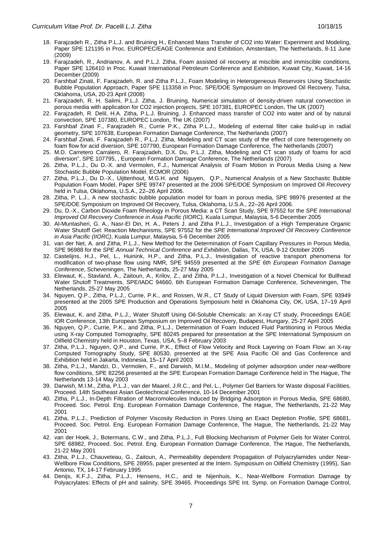- 19. Farajzadeh, R., Andrianov, A. and P.L.J. Zitha, Foam assisted oil recovery at miscible and immiscible conditions, Paper SPE 126410 in Proc. Kuwait International Petroleum Conference and Exhibition, Kuwait City, Kuwait, 14-16 December (2009)
- 20. Farshbaf Zinati, F. Farajzadeh, R. and Zitha P.L.J., Foam Modeling in Heterogeneous Reservoirs Using Stochastic Bubble Population Approach, Paper SPE 113358 in Proc. SPE/DOE Symposium on Improved Oil Recovery, Tulsa, Oklahoma, USA, 20-23 April (2008)
- 21. Farajzadeh, R. H. Salimi, P.L.J. Zitha, J. Bruining, Numerical simulation of density-driven natural convection in porous media with application for CO2 injection projects, SPE 107381, EUROPEC London, The UK (2007)
- 22. Farajzadeh, R. Delil, H.A. Zitha, P.L.J. Bruining. J. Enhanced mass transfer of CO2 into water and oil by natural convection, SPE 107380, EUROPEC London, The UK (2007)
- 23. Farshbaf Zinati F., Farajzadeh R., Currie P.K., Zitha P.L.J., Modeling of external filter cake build-up in radial geometry, SPE 107638, European Formation Damage Conference, The Netherlands (2007)
- 24. Farshbaf Zinati, F. Farajzadeh R., P.L.J. Zitha, Modeling and CT scan study of the effect of core heterogeneity on foam flow for acid diversion, SPE 107790, European Formation Damage Conference, The Netherlands (2007)
- 25. M.D. Carretero Carralero, R. Farajzadeh, D.X. Du, P.L.J. Zitha, Modeling and CT scan study of foams for acid diversion", SPE 107795, , European Formation Damage Conference, The Netherlands (2007)
- 26. Zitha, P.L.J., Du D.-X. and Vermolen, F.J., Numerical Analysis of Foam Motion in Porous Media Using a New Stochastic Bubble Population Model, ECMOR (2006)
- 27. Zitha, P.L.J., Du D.-X., Uijttenhout, M.G.H. and Nguyen, Q.P., Numerical Analysis of a New Stochastic Bubble Population Foam Model, Paper SPE 99747 presented at the 2006 SPE/DOE Symposium on Improved Oil Recovery held in Tulsa, Oklahoma, U.S.A., 22–26 April 2006.
- 28. Zitha, P. L.J., A new stochastic bubble population model for foam in porous media, SPE 98976 presented at the SPE/DOE Symposium on Improved Oil Recovery, Tulsa, Oklahoma, U.S.A., 22–26 April 2006.
- 29. Du, D.-X., Carbon Dioxide Foam Rheology in Porous Media: a CT Scan Study, SPE 97552 for the SPE International Improved Oil Recovery Conference in Asia Pacific (IIORC), Kuala Lumpur, Malaysia, 5-6 December 2005
- 30. Al-Muntasheri, G. A., Nasr-El Din, H. A., Peters J. and Zitha P.L.J., Investigation of a High Temperature Organic Water Shutoff Gel: Reaction Mechanisms, SPE 97552 for the SPE International Improved Oil Recovery Conference in Asia Pacific (IIORC), Kuala Lumpur, Malaysia, 5-6 December 2005
- 31. van der Net, A. and Zitha, P.L.J., New Method for the Determination of Foam Capillary Pressures in Porous Media, SPE 96988 for the SPE Annual Technical Conference and Exhibition, Dallas, TX, USA, 9-12 October 2005
- 32. Castelijns, H.J., Pel, L., Huinink, H.P., and Zitha, P.L.J., Investigation of reactive transport phenomena for modification of two-phase flow using NMR, SPE 94559 presented at the SPE 6th European Formation Damage Conference, Scheveningen, The Netherlands, 25-27 May 2005
- 33. Elewaut, K., Stavland, A., Zaitoun, A., Krilov, Z., and Zitha, P.L.J., Investigation of a Novel Chemical for Bullhead Water Shutoff Treatments, SPE/IADC 94660, 6th European Formation Damage Conference, Scheveningen, The Netherlands, 25-27 May 2005
- 34. Nguyen, Q.P., Zitha, P.L.J., Currie, P.K., and Rossen, W.R., CT Study of Liquid Diversion with Foam, SPE 93949 presented at the 2005 SPE Production and Operations Symposium held in Oklahoma City, OK, USA, 17–19 April 2005
- 35. Elewaut, K. and Zitha, P.L.J., Water Shutoff Using Oil-Soluble Chemicals: an X-ray CT study, Proceedings EAGE IOR Conference, 13th European Symposium on Improved Oil Recovery, Budapest, Hungary, 25-27 April 2005
- 36. Nguyen, Q.P., Currie, P.K., and Zitha, P.L.J., Determination of Foam Induced Fluid Partitioning in Porous Media using X-ray Computed Tomography, SPE 80245 prepared for presentation at the SPE International Symposium on Oilfield Chemistry held in Houston, Texas, USA, 5–8 February 2003
- 37. Zitha, P.L.J., Nguyen, Q.P., and Currie, P.K., Effect of Flow Velocity and Rock Layering on Foam Flow: an X-ray Computed Tomography Study, SPE 80530, presented at the SPE Asia Pacific Oil and Gas Conference and Exhibition held in Jakarta, Indonesia, 15–17 April 2003
- 38. Zitha, P.L.J., Mandzi, D., Vermolen, F., and Darwish, M.I.M., Modeling of polymer adsorption under near-wellbore flow conditions, SPE 82256 presented at the SPE European Formation Damage Conference held in The Hague, The Netherlands 13-14 May 2003
- 39. Darwish, M.I.M., Zitha, P.L.J., van der Maarel, J.R.C., and Pel, L., Polymer Gel Barriers for Waste disposal Facilities, Proceed. 14th Southeast Asian Geotechnical Conference, 10-14 December 2001
- 40. Zitha, P.L.J., In-Depth Filtration of Macromolecules Induced by Bridging Adsorption in Porous Media, SPE 68680, Proceed. Soc. Petrol. Eng. European Formation Damage Conference, The Hague, The Netherlands, 21-22 May 2001
- 41. Zitha, P.L.J., Prediction of Polymer Viscosity Reduction in Pores Using an Exact Depletion Profile, SPE 68681, Proceed. Soc. Petrol. Eng. European Formation Damage Conference, The Hague, The Netherlands, 21-22 May 2001
- 42. van der Hoek, J., Botermans, C.W., and Zitha, P.L.J., Full Blocking Mechanism of Polymer Gels for Water Control, SPE 68982, Proceed. Soc. Petrol. Eng. European Formation Damage Conference, The Hague, The Netherlands, 21-22 May 2001
- 43. Zitha, P.L.J., Chauveteau, G., Zaitoun, A., Permeability dependent Propagation of Polyacrylamides under Near-Wellbore Flow Conditions, SPE 28955, paper presented at the Intern. Symposium on Oilfield Chemistry (1995), San Antonio, TX, 14-17 February 1995
- 44. Denijs, K.F.J., Zitha, P.L.J., Hensens, H.C., and te Nijenhuis, K., Near-Wellbore Formation Damage by Polyacrylates: Effects of pH and salinity, SPE 39465. Proceedings SPE Int. Symp. on Formation Damage Control,